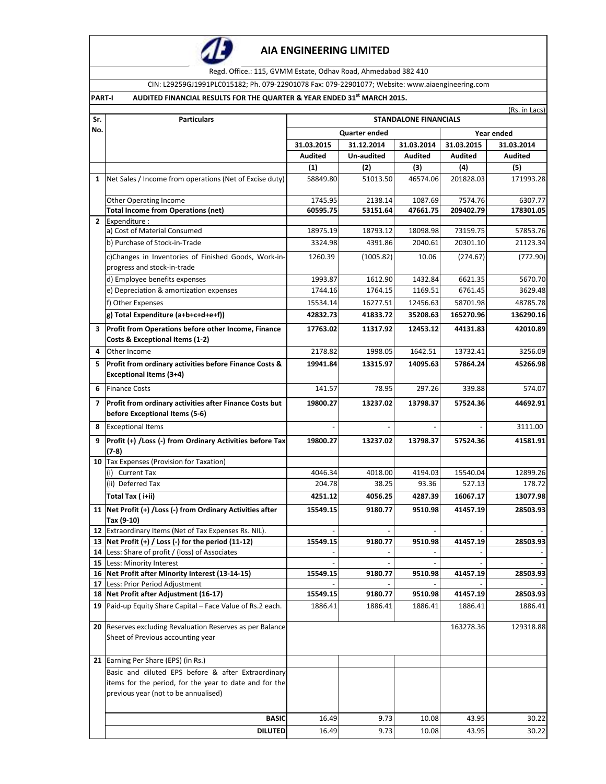

Regd. Office.: 115, GVMM Estate, Odhav Road, Ahmedabad 382 410

CIN: L29259GJ1991PLC015182; Ph. 079-22901078 Fax: 079-22901077; Website: www.aiaengineering.com

## **PART-I AUDITED FINANCIAL RESULTS FOR THE QUARTER & YEAR ENDED 31st MARCH 2015.**

| Sr. |                                                                                                                                                      | (Rs. in Lacs)<br><b>Particulars</b><br><b>STANDALONE FINANCIALS</b> |                      |                |                |                |  |
|-----|------------------------------------------------------------------------------------------------------------------------------------------------------|---------------------------------------------------------------------|----------------------|----------------|----------------|----------------|--|
| No. |                                                                                                                                                      |                                                                     |                      |                |                |                |  |
|     |                                                                                                                                                      |                                                                     | <b>Quarter ended</b> | Year ended     |                |                |  |
|     |                                                                                                                                                      | 31.03.2015                                                          | 31.12.2014           | 31.03.2014     | 31.03.2015     | 31.03.2014     |  |
|     |                                                                                                                                                      | <b>Audited</b>                                                      | Un-audited           | <b>Audited</b> | <b>Audited</b> | <b>Audited</b> |  |
|     |                                                                                                                                                      | (1)                                                                 | (2)                  | (3)            | (4)            | (5)            |  |
| 1   | Net Sales / Income from operations (Net of Excise duty)                                                                                              | 58849.80                                                            | 51013.50             | 46574.06       | 201828.03      | 171993.28      |  |
|     | Other Operating Income                                                                                                                               | 1745.95                                                             | 2138.14              | 1087.69        | 7574.76        | 6307.77        |  |
|     | <b>Total Income from Operations (net)</b>                                                                                                            | 60595.75                                                            | 53151.64             | 47661.75       | 209402.79      | 178301.05      |  |
|     | 2 Expenditure :                                                                                                                                      |                                                                     |                      |                |                |                |  |
|     | a) Cost of Material Consumed                                                                                                                         | 18975.19                                                            | 18793.12             | 18098.98       | 73159.75       | 57853.76       |  |
|     | b) Purchase of Stock-in-Trade                                                                                                                        | 3324.98                                                             | 4391.86              | 2040.61        | 20301.10       | 21123.34       |  |
|     | c)Changes in Inventories of Finished Goods, Work-in-<br>progress and stock-in-trade                                                                  | 1260.39                                                             | (1005.82)            | 10.06          | (274.67)       | (772.90)       |  |
|     | d) Employee benefits expenses                                                                                                                        | 1993.87                                                             | 1612.90              | 1432.84        | 6621.35        | 5670.70        |  |
|     | e) Depreciation & amortization expenses                                                                                                              | 1744.16                                                             | 1764.15              | 1169.51        | 6761.45        | 3629.48        |  |
|     | f) Other Expenses                                                                                                                                    | 15534.14                                                            | 16277.51             | 12456.63       | 58701.98       | 48785.78       |  |
|     | g) Total Expenditure (a+b+c+d+e+f))                                                                                                                  | 42832.73                                                            | 41833.72             | 35208.63       | 165270.96      | 136290.16      |  |
| 3   | Profit from Operations before other Income, Finance<br>Costs & Exceptional Items (1-2)                                                               | 17763.02                                                            | 11317.92             | 12453.12       | 44131.83       | 42010.89       |  |
| 4   | Other Income                                                                                                                                         | 2178.82                                                             | 1998.05              | 1642.51        | 13732.41       | 3256.09        |  |
| 5   | Profit from ordinary activities before Finance Costs &                                                                                               | 19941.84                                                            | 13315.97             | 14095.63       | 57864.24       | 45266.98       |  |
|     | <b>Exceptional Items (3+4)</b>                                                                                                                       |                                                                     |                      |                |                |                |  |
| 6   | <b>Finance Costs</b>                                                                                                                                 | 141.57                                                              | 78.95                | 297.26         | 339.88         | 574.07         |  |
| 7   | Profit from ordinary activities after Finance Costs but<br>before Exceptional Items (5-6)                                                            | 19800.27                                                            | 13237.02             | 13798.37       | 57524.36       | 44692.91       |  |
| 8   | <b>Exceptional Items</b>                                                                                                                             |                                                                     |                      |                |                | 3111.00        |  |
| 9   | Profit (+) / Loss (-) from Ordinary Activities before Tax<br>$(7-8)$                                                                                 | 19800.27                                                            | 13237.02             | 13798.37       | 57524.36       | 41581.91       |  |
|     | 10 Tax Expenses (Provision for Taxation)                                                                                                             |                                                                     |                      |                |                |                |  |
|     | (i) Current Tax                                                                                                                                      | 4046.34                                                             | 4018.00              | 4194.03        | 15540.04       | 12899.26       |  |
|     | (ii) Deferred Tax                                                                                                                                    | 204.78                                                              | 38.25                | 93.36          | 527.13         | 178.72         |  |
|     | Total Tax (i+ii)                                                                                                                                     | 4251.12                                                             | 4056.25              | 4287.39        | 16067.17       | 13077.98       |  |
|     | 11   Net Profit (+) / Loss (-) from Ordinary Activities after<br>Tax (9-10)                                                                          | 15549.15                                                            | 9180.77              | 9510.98        | 41457.19       | 28503.93       |  |
| 12  | Extraordinary Items (Net of Tax Expenses Rs. NIL).                                                                                                   |                                                                     |                      |                |                |                |  |
| 13  | Net Profit (+) / Loss (-) for the period (11-12)                                                                                                     | 15549.15                                                            | 9180.77              | 9510.98        | 41457.19       | 28503.93       |  |
|     | <b>14</b> Less: Share of profit / (loss) of Associates                                                                                               |                                                                     |                      |                |                |                |  |
|     | 15 Less: Minority Interest                                                                                                                           |                                                                     |                      |                |                |                |  |
|     | 16 Net Profit after Minority Interest (13-14-15)                                                                                                     | 15549.15                                                            | 9180.77              | 9510.98        | 41457.19       | 28503.93       |  |
|     | 17 Less: Prior Period Adjustment<br>18 Net Profit after Adjustment (16-17)                                                                           | 15549.15                                                            | 9180.77              | 9510.98        | 41457.19       | 28503.93       |  |
| 19  | Paid-up Equity Share Capital - Face Value of Rs.2 each.                                                                                              | 1886.41                                                             | 1886.41              | 1886.41        | 1886.41        | 1886.41        |  |
|     | 20 Reserves excluding Revaluation Reserves as per Balance<br>Sheet of Previous accounting year                                                       |                                                                     |                      |                | 163278.36      | 129318.88      |  |
|     | 21 Earning Per Share (EPS) (in Rs.)                                                                                                                  |                                                                     |                      |                |                |                |  |
|     | Basic and diluted EPS before & after Extraordinary<br>items for the period, for the year to date and for the<br>previous year (not to be annualised) |                                                                     |                      |                |                |                |  |
|     | <b>BASIC</b>                                                                                                                                         | 16.49                                                               | 9.73                 | 10.08          | 43.95          | 30.22          |  |
|     | <b>DILUTED</b>                                                                                                                                       | 16.49                                                               | 9.73                 | 10.08          | 43.95          | 30.22          |  |
|     |                                                                                                                                                      |                                                                     |                      |                |                |                |  |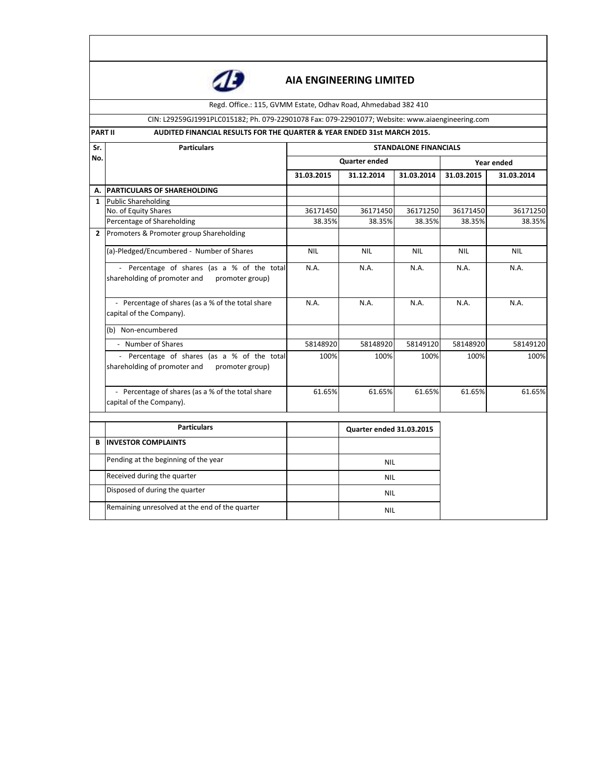

Regd. Office.: 115, GVMM Estate, Odhav Road, Ahmedabad 382 410

#### CIN: L29259GJ1991PLC015182; Ph. 079-22901078 Fax: 079-22901077; Website: www.aiaengineering.com

### **PART II AUDITED FINANCIAL RESULTS FOR THE QUARTER & YEAR ENDED 31st MARCH 2015.**

| Sr.            | <b>Particulars</b>                                                                             | <b>STANDALONE FINANCIALS</b> |                          |            |            |            |  |
|----------------|------------------------------------------------------------------------------------------------|------------------------------|--------------------------|------------|------------|------------|--|
| No.            |                                                                                                |                              | Quarter ended            |            |            | Year ended |  |
|                |                                                                                                | 31.03.2015                   | 31.12.2014               | 31.03.2014 | 31.03.2015 | 31.03.2014 |  |
| Α.             | <b>PARTICULARS OF SHAREHOLDING</b>                                                             |                              |                          |            |            |            |  |
| $\mathbf{1}$   | <b>Public Shareholding</b>                                                                     |                              |                          |            |            |            |  |
|                | No. of Equity Shares                                                                           | 36171450                     | 36171450                 | 36171250   | 36171450   | 36171250   |  |
|                | Percentage of Shareholding                                                                     | 38.35%                       | 38.35%                   | 38.35%     | 38.35%     | 38.35%     |  |
| $\overline{2}$ | Promoters & Promoter group Shareholding                                                        |                              |                          |            |            |            |  |
|                | (a)-Pledged/Encumbered - Number of Shares                                                      | <b>NIL</b>                   | <b>NIL</b>               | <b>NIL</b> | <b>NIL</b> | <b>NIL</b> |  |
|                | - Percentage of shares (as a % of the total<br>shareholding of promoter and<br>promoter group) | N.A.                         | N.A.                     | N.A.       | N.A.       | N.A.       |  |
|                | - Percentage of shares (as a % of the total share<br>capital of the Company).                  | N.A.                         | N.A.                     | N.A.       | N.A.       | N.A.       |  |
|                | (b) Non-encumbered                                                                             |                              |                          |            |            |            |  |
|                | - Number of Shares                                                                             | 58148920                     | 58148920                 | 58149120   | 58148920   | 58149120   |  |
|                | - Percentage of shares (as a % of the total<br>shareholding of promoter and<br>promoter group) | 100%                         | 100%                     | 100%       | 100%       | 100%       |  |
|                | - Percentage of shares (as a % of the total share<br>capital of the Company).                  | 61.65%                       | 61.65%                   | 61.65%     | 61.65%     | 61.65%     |  |
|                | <b>Particulars</b>                                                                             |                              | Quarter ended 31.03.2015 |            |            |            |  |
| B              | <b>INVESTOR COMPLAINTS</b>                                                                     |                              |                          |            |            |            |  |
|                | Pending at the beginning of the year                                                           |                              | <b>NIL</b>               |            |            |            |  |
|                | Received during the quarter                                                                    |                              | <b>NIL</b>               |            |            |            |  |
|                | Disposed of during the quarter                                                                 |                              | <b>NIL</b>               |            |            |            |  |
|                | Remaining unresolved at the end of the quarter                                                 |                              | <b>NIL</b>               |            |            |            |  |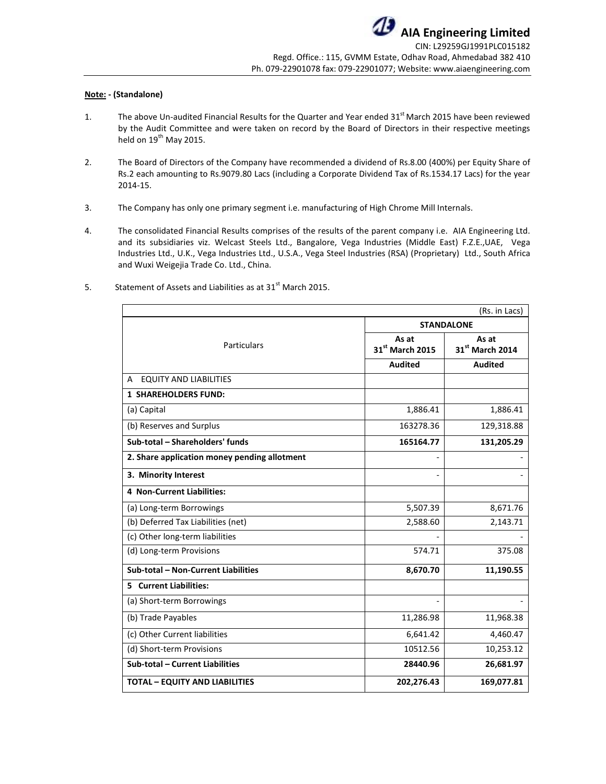#### **Note: - (Standalone)**

- 1. The above Un-audited Financial Results for the Quarter and Year ended 31<sup>st</sup> March 2015 have been reviewed by the Audit Committee and were taken on record by the Board of Directors in their respective meetings held on  $19<sup>th</sup>$  May 2015.
- 2. The Board of Directors of the Company have recommended a dividend of Rs.8.00 (400%) per Equity Share of Rs.2 each amounting to Rs.9079.80 Lacs (including a Corporate Dividend Tax of Rs.1534.17 Lacs) for the year 2014-15.
- 3. The Company has only one primary segment i.e. manufacturing of High Chrome Mill Internals.
- 4. The consolidated Financial Results comprises of the results of the parent company i.e. AIA Engineering Ltd. and its subsidiaries viz. Welcast Steels Ltd., Bangalore, Vega Industries (Middle East) F.Z.E.,UAE, Vega Industries Ltd., U.K., Vega Industries Ltd., U.S.A., Vega Steel Industries (RSA) (Proprietary) Ltd., South Africa and Wuxi Weigejia Trade Co. Ltd., China.

|                                              |                          | (Rs. in Lacs)            |  |
|----------------------------------------------|--------------------------|--------------------------|--|
|                                              |                          | <b>STANDALONE</b>        |  |
| Particulars                                  | As at<br>31st March 2015 | As at<br>31st March 2014 |  |
|                                              | <b>Audited</b>           | <b>Audited</b>           |  |
| <b>EQUITY AND LIABILITIES</b><br>A           |                          |                          |  |
| <b>1 SHAREHOLDERS FUND:</b>                  |                          |                          |  |
| (a) Capital                                  | 1,886.41                 | 1,886.41                 |  |
| (b) Reserves and Surplus                     | 163278.36                | 129,318.88               |  |
| Sub-total - Shareholders' funds              | 165164.77                | 131,205.29               |  |
| 2. Share application money pending allotment |                          |                          |  |
| 3. Minority Interest                         |                          |                          |  |
| 4 Non-Current Liabilities:                   |                          |                          |  |
| (a) Long-term Borrowings                     | 5,507.39                 | 8,671.76                 |  |
| (b) Deferred Tax Liabilities (net)           | 2,588.60                 | 2,143.71                 |  |
| (c) Other long-term liabilities              |                          |                          |  |
| (d) Long-term Provisions                     | 574.71                   | 375.08                   |  |
| Sub-total - Non-Current Liabilities          | 8,670.70                 | 11,190.55                |  |
| <b>5</b> Current Liabilities:                |                          |                          |  |
| (a) Short-term Borrowings                    |                          |                          |  |
| (b) Trade Payables                           | 11,286.98                | 11,968.38                |  |
| (c) Other Current liabilities                | 6,641.42                 | 4,460.47                 |  |
| (d) Short-term Provisions                    | 10512.56                 | 10,253.12                |  |
| Sub-total - Current Liabilities              | 28440.96                 | 26,681.97                |  |
| <b>TOTAL - EQUITY AND LIABILITIES</b>        | 202,276.43               | 169,077.81               |  |

5. Statement of Assets and Liabilities as at  $31<sup>st</sup>$  March 2015.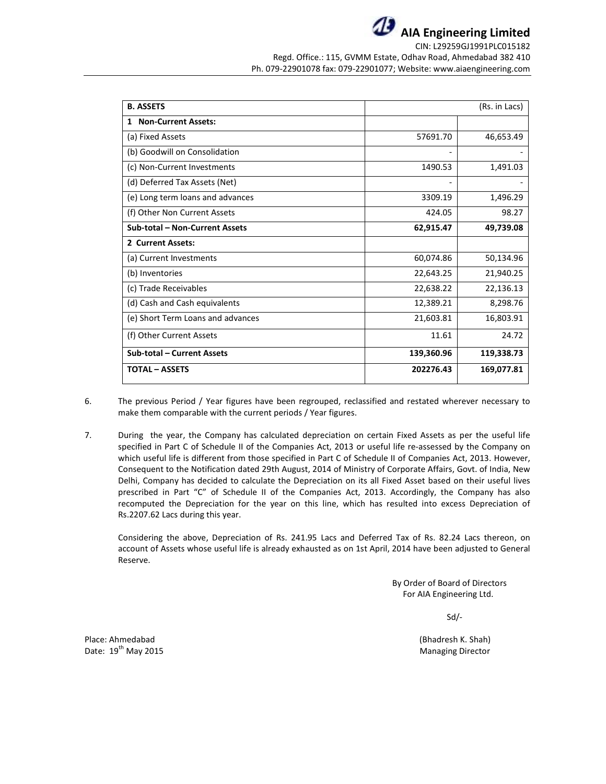**AIA Engineering Limited** CIN: L29259GJ1991PLC015182

Regd. Office.: 115, GVMM Estate, Odhav Road, Ahmedabad 382 410 Ph. 079-22901078 fax: 079-22901077; Website: www.aiaengineering.com

| <b>B. ASSETS</b>                  |            | (Rs. in Lacs) |
|-----------------------------------|------------|---------------|
| <b>Non-Current Assets:</b><br>1   |            |               |
| (a) Fixed Assets                  | 57691.70   | 46,653.49     |
| (b) Goodwill on Consolidation     |            |               |
| (c) Non-Current Investments       | 1490.53    | 1,491.03      |
| (d) Deferred Tax Assets (Net)     |            |               |
| (e) Long term loans and advances  | 3309.19    | 1,496.29      |
| (f) Other Non Current Assets      | 424.05     | 98.27         |
| Sub-total - Non-Current Assets    | 62,915.47  | 49,739.08     |
| 2 Current Assets:                 |            |               |
| (a) Current Investments           | 60,074.86  | 50,134.96     |
| (b) Inventories                   | 22,643.25  | 21,940.25     |
| (c) Trade Receivables             | 22,638.22  | 22,136.13     |
| (d) Cash and Cash equivalents     | 12,389.21  | 8,298.76      |
| (e) Short Term Loans and advances | 21,603.81  | 16,803.91     |
| (f) Other Current Assets          | 11.61      | 24.72         |
| Sub-total - Current Assets        | 139,360.96 | 119,338.73    |
| <b>TOTAL – ASSETS</b>             | 202276.43  | 169,077.81    |

- 6. The previous Period / Year figures have been regrouped, reclassified and restated wherever necessary to make them comparable with the current periods / Year figures.
- 7. During the year, the Company has calculated depreciation on certain Fixed Assets as per the useful life specified in Part C of Schedule II of the Companies Act, 2013 or useful life re-assessed by the Company on which useful life is different from those specified in Part C of Schedule II of Companies Act, 2013. However, Consequent to the Notification dated 29th August, 2014 of Ministry of Corporate Affairs, Govt. of India, New Delhi, Company has decided to calculate the Depreciation on its all Fixed Asset based on their useful lives prescribed in Part "C" of Schedule II of the Companies Act, 2013. Accordingly, the Company has also recomputed the Depreciation for the year on this line, which has resulted into excess Depreciation of Rs.2207.62 Lacs during this year.

Considering the above, Depreciation of Rs. 241.95 Lacs and Deferred Tax of Rs. 82.24 Lacs thereon, on account of Assets whose useful life is already exhausted as on 1st April, 2014 have been adjusted to General Reserve.

> By Order of Board of Directors For AIA Engineering Ltd.

> > Sd/-

Place: Ahmedabad (Bhadresh K. Shah) Date:  $19^{th}$  May 2015 Managing Director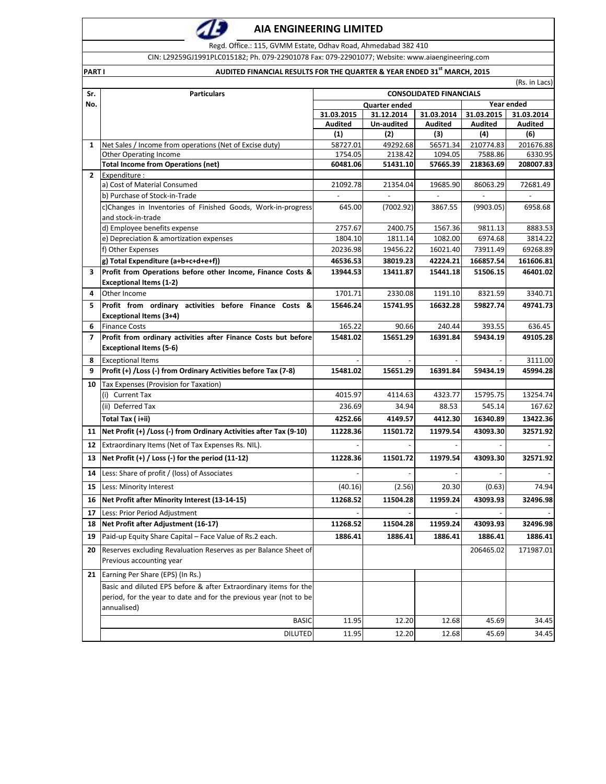Regd. Office.: 115, GVMM Estate, Odhav Road, Ahmedabad 382 410

CIN: L29259GJ1991PLC015182; Ph. 079-22901078 Fax: 079-22901077; Website: www.aiaengineering.com

#### **PART I AUDITED FINANCIAL RESULTS FOR THE QUARTER & YEAR ENDED 31st MARCH, 2015**

(Rs. in Lacs)

| Sr.            | <b>Particulars</b>                                                  |                                    |            | <b>CONSOLIDATED FINANCIALS</b> |                |                |
|----------------|---------------------------------------------------------------------|------------------------------------|------------|--------------------------------|----------------|----------------|
| No.            |                                                                     | Year ended<br><b>Quarter ended</b> |            |                                |                |                |
|                |                                                                     | 31.03.2015                         | 31.12.2014 | 31.03.2014                     | 31.03.2015     | 31.03.2014     |
|                |                                                                     | <b>Audited</b>                     | Un-audited | <b>Audited</b>                 | <b>Audited</b> | <b>Audited</b> |
|                |                                                                     | (1)                                | (2)        | (3)                            | (4)            | (6)            |
| 1              | Net Sales / Income from operations (Net of Excise duty)             | 58727.01                           | 49292.68   | 56571.34                       | 210774.83      | 201676.88      |
|                | Other Operating Income                                              | 1754.05                            | 2138.42    | 1094.05                        | 7588.86        | 6330.95        |
| $\overline{2}$ | <b>Total Income from Operations (net)</b><br>Expenditure :          | 60481.06                           | 51431.10   | 57665.39                       | 218363.69      | 208007.83      |
|                | a) Cost of Material Consumed                                        | 21092.78                           | 21354.04   | 19685.90                       | 86063.29       | 72681.49       |
|                | b) Purchase of Stock-in-Trade                                       |                                    |            |                                |                |                |
|                | c)Changes in Inventories of Finished Goods, Work-in-progress        | 645.00                             | (7002.92)  | 3867.55                        | (9903.05)      | 6958.68        |
|                | and stock-in-trade                                                  |                                    |            |                                |                |                |
|                | d) Employee benefits expense                                        | 2757.67                            | 2400.75    | 1567.36                        | 9811.13        | 8883.53        |
|                | e) Depreciation & amortization expenses                             | 1804.10                            | 1811.14    | 1082.00                        | 6974.68        | 3814.22        |
|                | f) Other Expenses                                                   | 20236.98                           | 19456.22   | 16021.40                       | 73911.49       | 69268.89       |
|                | g) Total Expenditure (a+b+c+d+e+f))                                 | 46536.53                           | 38019.23   | 42224.21                       | 166857.54      | 161606.81      |
| 3              | Profit from Operations before other Income, Finance Costs &         |                                    |            |                                | 51506.15       |                |
|                |                                                                     | 13944.53                           | 13411.87   | 15441.18                       |                | 46401.02       |
| 4              | <b>Exceptional Items (1-2)</b><br>Other Income                      | 1701.71                            | 2330.08    | 1191.10                        | 8321.59        | 3340.71        |
|                |                                                                     |                                    |            |                                |                |                |
| 5              | Profit from ordinary activities before Finance Costs &              | 15646.24                           | 15741.95   | 16632.28                       | 59827.74       | 49741.73       |
|                | <b>Exceptional Items (3+4)</b>                                      |                                    |            |                                |                |                |
| 6              | <b>Finance Costs</b>                                                | 165.22                             | 90.66      | 240.44                         | 393.55         | 636.45         |
| 7              | Profit from ordinary activities after Finance Costs but before      | 15481.02                           | 15651.29   | 16391.84                       | 59434.19       | 49105.28       |
|                | <b>Exceptional Items (5-6)</b>                                      |                                    |            |                                |                |                |
| 8              | <b>Exceptional Items</b>                                            |                                    |            |                                |                | 3111.00        |
| 9              | Profit (+) / Loss (-) from Ordinary Activities before Tax (7-8)     | 15481.02                           | 15651.29   | 16391.84                       | 59434.19       | 45994.28       |
| 10             | Tax Expenses (Provision for Taxation)                               |                                    |            |                                |                |                |
|                | (i) Current Tax                                                     | 4015.97                            | 4114.63    | 4323.77                        | 15795.75       | 13254.74       |
|                | (ii) Deferred Tax                                                   | 236.69                             | 34.94      | 88.53                          | 545.14         | 167.62         |
|                | Total Tax (i+ii)                                                    | 4252.66                            | 4149.57    | 4412.30                        | 16340.89       | 13422.36       |
| 11             | Net Profit (+) / Loss (-) from Ordinary Activities after Tax (9-10) | 11228.36                           | 11501.72   | 11979.54                       | 43093.30       | 32571.92       |
|                |                                                                     |                                    |            |                                |                |                |
| 12             | Extraordinary Items (Net of Tax Expenses Rs. NIL).                  |                                    |            |                                |                |                |
| 13             | Net Profit $(+)$ / Loss $(-)$ for the period $(11-12)$              | 11228.36                           | 11501.72   | 11979.54                       | 43093.30       | 32571.92       |
| 14             | Less: Share of profit / (loss) of Associates                        |                                    |            |                                |                |                |
| 15             | Less: Minority Interest                                             | (40.16)                            | (2.56)     | 20.30                          | (0.63)         | 74.94          |
| 16             | Net Profit after Minority Interest (13-14-15)                       | 11268.52                           | 11504.28   | 11959.24                       | 43093.93       | 32496.98       |
| 17             | Less: Prior Period Adjustment                                       |                                    |            |                                |                |                |
|                | 18 Net Profit after Adjustment (16-17)                              | 11268.52                           | 11504.28   | 11959.24                       | 43093.93       | 32496.98       |
| 19             | Paid-up Equity Share Capital - Face Value of Rs.2 each.             | 1886.41                            | 1886.41    | 1886.41                        | 1886.41        | 1886.41        |
|                |                                                                     |                                    |            |                                |                |                |
| 20             | Reserves excluding Revaluation Reserves as per Balance Sheet of     |                                    |            |                                | 206465.02      | 171987.01      |
|                | Previous accounting year                                            |                                    |            |                                |                |                |
| 21             | Earning Per Share (EPS) (In Rs.)                                    |                                    |            |                                |                |                |
|                | Basic and diluted EPS before & after Extraordinary items for the    |                                    |            |                                |                |                |
|                | period, for the year to date and for the previous year (not to be   |                                    |            |                                |                |                |
|                | annualised)                                                         |                                    |            |                                |                |                |
|                | <b>BASIC</b>                                                        | 11.95                              | 12.20      | 12.68                          | 45.69          | 34.45          |
|                |                                                                     |                                    |            |                                |                |                |
|                | <b>DILUTED</b>                                                      | 11.95                              | 12.20      | 12.68                          | 45.69          | 34.45          |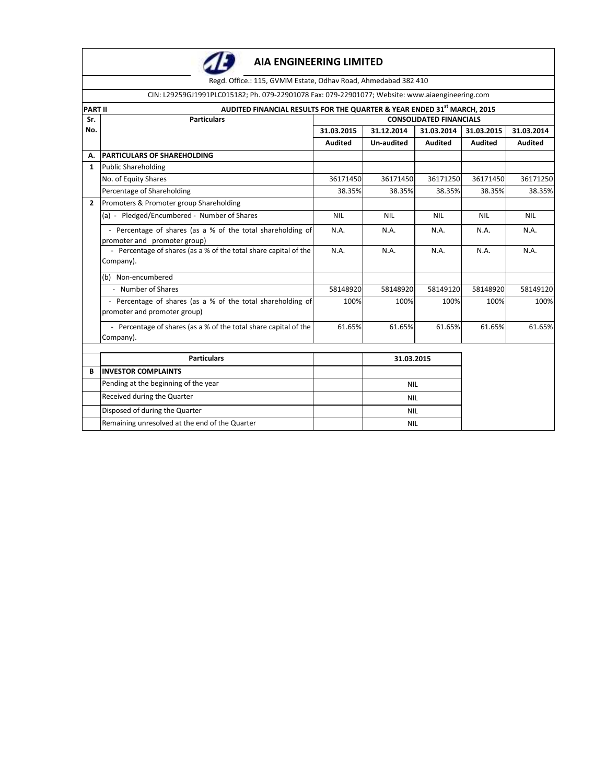

Regd. Office.: 115, GVMM Estate, Odhav Road, Ahmedabad 382 410

CIN: L29259GJ1991PLC015182; Ph. 079-22901078 Fax: 079-22901077; Website: www.aiaengineering.com

| <b>PART II</b> | AUDITED FINANCIAL RESULTS FOR THE QUARTER & YEAR ENDED 31st MARCH, 2015                     |                                |            |                |                |                |  |
|----------------|---------------------------------------------------------------------------------------------|--------------------------------|------------|----------------|----------------|----------------|--|
| Sr.            | <b>Particulars</b>                                                                          | <b>CONSOLIDATED FINANCIALS</b> |            |                |                |                |  |
| No.            |                                                                                             | 31.03.2015                     | 31.12.2014 | 31.03.2014     | 31.03.2015     | 31.03.2014     |  |
|                |                                                                                             | <b>Audited</b>                 | Un-audited | <b>Audited</b> | <b>Audited</b> | <b>Audited</b> |  |
| А.             | <b>PARTICULARS OF SHAREHOLDING</b>                                                          |                                |            |                |                |                |  |
| $\mathbf{1}$   | <b>Public Shareholding</b>                                                                  |                                |            |                |                |                |  |
|                | No. of Equity Shares                                                                        | 36171450                       | 36171450   | 36171250       | 36171450       | 36171250       |  |
|                | Percentage of Shareholding                                                                  | 38.35%                         | 38.35%     | 38.35%         | 38.35%         | 38.35%         |  |
| $\overline{2}$ | Promoters & Promoter group Shareholding                                                     |                                |            |                |                |                |  |
|                | (a) - Pledged/Encumbered - Number of Shares                                                 | <b>NIL</b>                     | <b>NIL</b> | <b>NIL</b>     | <b>NIL</b>     | <b>NIL</b>     |  |
|                | - Percentage of shares (as a % of the total shareholding of<br>promoter and promoter group) | N.A.                           | N.A.       | N.A.           | N.A.           | N.A.           |  |
|                | - Percentage of shares (as a % of the total share capital of the<br>Company).               | N.A.                           | N.A.       | N.A.           | N.A.           | N.A.           |  |
|                | (b) Non-encumbered                                                                          |                                |            |                |                |                |  |
|                | - Number of Shares                                                                          | 58148920                       | 58148920   | 58149120       | 58148920       | 58149120       |  |
|                | - Percentage of shares (as a % of the total shareholding of<br>promoter and promoter group) | 100%                           | 100%       | 100%           | 100%           | 100%           |  |
|                | - Percentage of shares (as a % of the total share capital of the<br>Company).               | 61.65%                         | 61.65%     | 61.65%         | 61.65%         | 61.65%         |  |
|                | <b>Particulars</b>                                                                          |                                | 31.03.2015 |                |                |                |  |
| B              | <b>INVESTOR COMPLAINTS</b>                                                                  |                                |            |                |                |                |  |
|                | Pending at the beginning of the year                                                        |                                | <b>NIL</b> |                |                |                |  |
|                | Received during the Quarter                                                                 |                                | <b>NIL</b> |                |                |                |  |
|                | Disposed of during the Quarter                                                              |                                | <b>NIL</b> |                |                |                |  |
|                | Remaining unresolved at the end of the Quarter                                              |                                | <b>NIL</b> |                |                |                |  |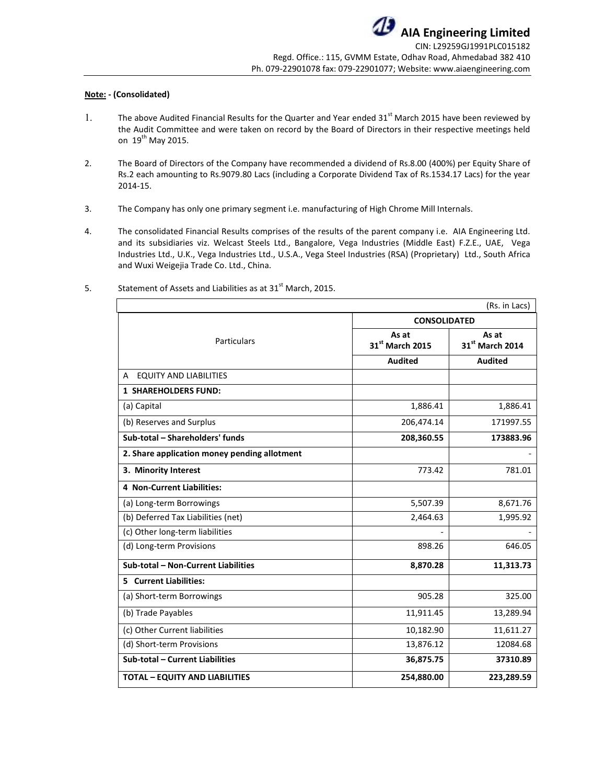#### **Note: - (Consolidated)**

- 1. The above Audited Financial Results for the Quarter and Year ended  $31^{st}$  March 2015 have been reviewed by the Audit Committee and were taken on record by the Board of Directors in their respective meetings held on  $19^{th}$  May 2015.
- 2. The Board of Directors of the Company have recommended a dividend of Rs.8.00 (400%) per Equity Share of Rs.2 each amounting to Rs.9079.80 Lacs (including a Corporate Dividend Tax of Rs.1534.17 Lacs) for the year 2014-15.
- 3. The Company has only one primary segment i.e. manufacturing of High Chrome Mill Internals.
- 4. The consolidated Financial Results comprises of the results of the parent company i.e. AIA Engineering Ltd. and its subsidiaries viz. Welcast Steels Ltd., Bangalore, Vega Industries (Middle East) F.Z.E., UAE, Vega Industries Ltd., U.K., Vega Industries Ltd., U.S.A., Vega Steel Industries (RSA) (Proprietary) Ltd., South Africa and Wuxi Weigejia Trade Co. Ltd., China.

|                                              |                          | (Rs. in Lacs)            |
|----------------------------------------------|--------------------------|--------------------------|
|                                              | <b>CONSOLIDATED</b>      |                          |
| <b>Particulars</b>                           | As at<br>31st March 2015 | As at<br>31st March 2014 |
|                                              | <b>Audited</b>           | <b>Audited</b>           |
| <b>EQUITY AND LIABILITIES</b><br>A           |                          |                          |
| <b>1 SHAREHOLDERS FUND:</b>                  |                          |                          |
| (a) Capital                                  | 1,886.41                 | 1,886.41                 |
| (b) Reserves and Surplus                     | 206,474.14               | 171997.55                |
| Sub-total - Shareholders' funds              | 208,360.55               | 173883.96                |
| 2. Share application money pending allotment |                          |                          |
| 3. Minority Interest                         | 773.42                   | 781.01                   |
| <b>4 Non-Current Liabilities:</b>            |                          |                          |
| (a) Long-term Borrowings                     | 5,507.39                 | 8,671.76                 |
| (b) Deferred Tax Liabilities (net)           | 2,464.63                 | 1,995.92                 |
| (c) Other long-term liabilities              |                          |                          |
| (d) Long-term Provisions                     | 898.26                   | 646.05                   |
| Sub-total - Non-Current Liabilities          | 8,870.28                 | 11,313.73                |
| <b>Current Liabilities:</b><br>5.            |                          |                          |
| (a) Short-term Borrowings                    | 905.28                   | 325.00                   |
| (b) Trade Payables                           | 11,911.45                | 13,289.94                |
| (c) Other Current liabilities                | 10,182.90                | 11,611.27                |
| (d) Short-term Provisions                    | 13,876.12                | 12084.68                 |
| Sub-total - Current Liabilities              | 36,875.75                | 37310.89                 |
| <b>TOTAL - EQUITY AND LIABILITIES</b>        | 254,880.00               | 223,289.59               |

5. Statement of Assets and Liabilities as at 31<sup>st</sup> March, 2015.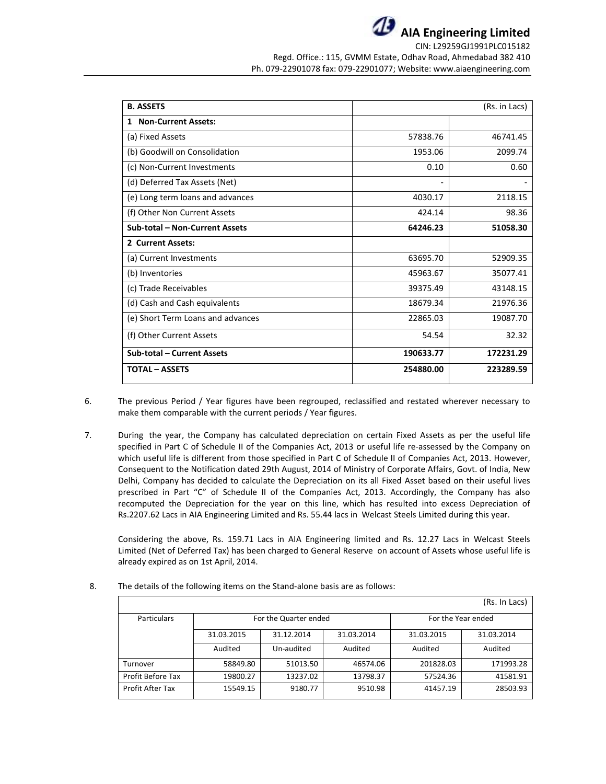

| <b>B. ASSETS</b>                  |           | (Rs. in Lacs) |
|-----------------------------------|-----------|---------------|
| <b>Non-Current Assets:</b><br>1   |           |               |
| (a) Fixed Assets                  | 57838.76  | 46741.45      |
| (b) Goodwill on Consolidation     | 1953.06   | 2099.74       |
| (c) Non-Current Investments       | 0.10      | 0.60          |
| (d) Deferred Tax Assets (Net)     | ۰         |               |
| (e) Long term loans and advances  | 4030.17   | 2118.15       |
| (f) Other Non Current Assets      | 424.14    | 98.36         |
| Sub-total - Non-Current Assets    | 64246.23  | 51058.30      |
| 2 Current Assets:                 |           |               |
| (a) Current Investments           | 63695.70  | 52909.35      |
| (b) Inventories                   | 45963.67  | 35077.41      |
| (c) Trade Receivables             | 39375.49  | 43148.15      |
| (d) Cash and Cash equivalents     | 18679.34  | 21976.36      |
| (e) Short Term Loans and advances | 22865.03  | 19087.70      |
| (f) Other Current Assets          | 54.54     | 32.32         |
| Sub-total - Current Assets        | 190633.77 | 172231.29     |
| <b>TOTAL - ASSETS</b>             | 254880.00 | 223289.59     |

- 6. The previous Period / Year figures have been regrouped, reclassified and restated wherever necessary to make them comparable with the current periods / Year figures.
- 7. During the year, the Company has calculated depreciation on certain Fixed Assets as per the useful life specified in Part C of Schedule II of the Companies Act, 2013 or useful life re-assessed by the Company on which useful life is different from those specified in Part C of Schedule II of Companies Act, 2013. However, Consequent to the Notification dated 29th August, 2014 of Ministry of Corporate Affairs, Govt. of India, New Delhi, Company has decided to calculate the Depreciation on its all Fixed Asset based on their useful lives prescribed in Part "C" of Schedule II of the Companies Act, 2013. Accordingly, the Company has also recomputed the Depreciation for the year on this line, which has resulted into excess Depreciation of Rs.2207.62 Lacs in AIA Engineering Limited and Rs. 55.44 lacs in Welcast Steels Limited during this year.

Considering the above, Rs. 159.71 Lacs in AIA Engineering limited and Rs. 12.27 Lacs in Welcast Steels Limited (Net of Deferred Tax) has been charged to General Reserve on account of Assets whose useful life is already expired as on 1st April, 2014.

|                   |            |                       |            |                    | (Rs. In Lacs) |
|-------------------|------------|-----------------------|------------|--------------------|---------------|
| Particulars       |            | For the Quarter ended |            | For the Year ended |               |
|                   | 31.03.2015 | 31.12.2014            | 31.03.2014 | 31.03.2015         | 31.03.2014    |
|                   | Audited    | Un-audited            | Audited    | Audited            | Audited       |
| Turnover          | 58849.80   | 51013.50              | 46574.06   | 201828.03          | 171993.28     |
| Profit Before Tax | 19800.27   | 13237.02              | 13798.37   | 57524.36           | 41581.91      |
| Profit After Tax  | 15549.15   | 9180.77               | 9510.98    | 41457.19           | 28503.93      |

8. The details of the following items on the Stand-alone basis are as follows: